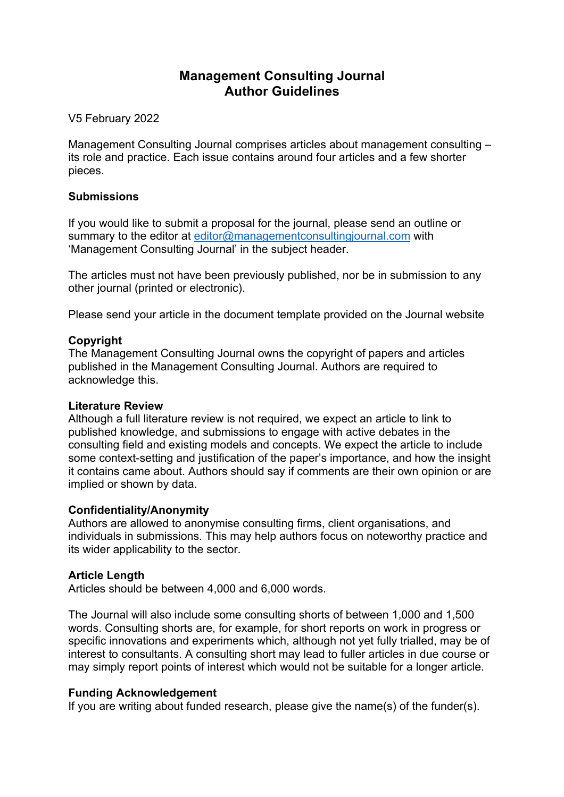# **Management Consulting Journal Author Guidelines**

V5 February 2022

Management Consulting Journal comprises articles about management consulting – its role and practice. Each issue contains around four articles and a few shorter pieces.

### **Submissions**

If you would like to submit a proposal for the journal, please send an outline or summary to the editor at editor@managementconsultingjournal.com with 'Management Consulting Journal' in the subject header.

The articles must not have been previously published, nor be in submission to any other journal (printed or electronic).

Please send your article in the document template provided on the Journal website

# **Copyright**

The Management Consulting Journal owns the copyright of papers and articles published in the Management Consulting Journal. Authors are required to acknowledge this.

### **Literature Review**

Although a full literature review is not required, we expect an article to link to published knowledge, and submissions to engage with active debates in the consulting field and existing models and concepts. We expect the article to include some context-setting and justification of the paper's importance, and how the insight it contains came about. Authors should say if comments are their own opinion or are implied or shown by data.

# **Confidentiality/Anonymity**

Authors are allowed to anonymise consulting firms, client organisations, and individuals in submissions. This may help authors focus on noteworthy practice and its wider applicability to the sector.

# **Article Length**

Articles should be between 4,000 and 6,000 words.

The Journal will also include some consulting shorts of between 1,000 and 1,500 words. Consulting shorts are, for example, for short reports on work in progress or specific innovations and experiments which, although not yet fully trialled, may be of interest to consultants. A consulting short may lead to fuller articles in due course or may simply report points of interest which would not be suitable for a longer article.

# **Funding Acknowledgement**

If you are writing about funded research, please give the name(s) of the funder(s).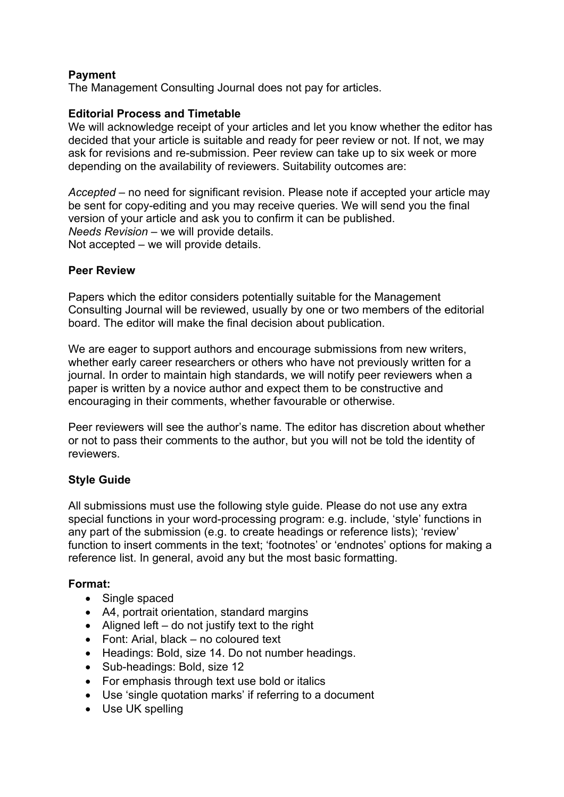# **Payment**

The Management Consulting Journal does not pay for articles.

### **Editorial Process and Timetable**

We will acknowledge receipt of your articles and let you know whether the editor has decided that your article is suitable and ready for peer review or not. If not, we may ask for revisions and re-submission. Peer review can take up to six week or more depending on the availability of reviewers. Suitability outcomes are:

*Accepted* – no need for significant revision. Please note if accepted your article may be sent for copy-editing and you may receive queries. We will send you the final version of your article and ask you to confirm it can be published. *Needs Revision* – we will provide details. Not accepted – we will provide details.

### **Peer Review**

Papers which the editor considers potentially suitable for the Management Consulting Journal will be reviewed, usually by one or two members of the editorial board. The editor will make the final decision about publication.

We are eager to support authors and encourage submissions from new writers, whether early career researchers or others who have not previously written for a journal. In order to maintain high standards, we will notify peer reviewers when a paper is written by a novice author and expect them to be constructive and encouraging in their comments, whether favourable or otherwise.

Peer reviewers will see the author's name. The editor has discretion about whether or not to pass their comments to the author, but you will not be told the identity of reviewers.

# **Style Guide**

All submissions must use the following style guide. Please do not use any extra special functions in your word-processing program: e.g. include, 'style' functions in any part of the submission (e.g. to create headings or reference lists); 'review' function to insert comments in the text; 'footnotes' or 'endnotes' options for making a reference list. In general, avoid any but the most basic formatting.

### **Format:**

- Single spaced
- A4, portrait orientation, standard margins
- Aligned left  $-$  do not justify text to the right
- Font: Arial, black no coloured text
- Headings: Bold, size 14. Do not number headings.
- Sub-headings: Bold, size 12
- For emphasis through text use bold or italics
- Use 'single quotation marks' if referring to a document
- Use UK spelling